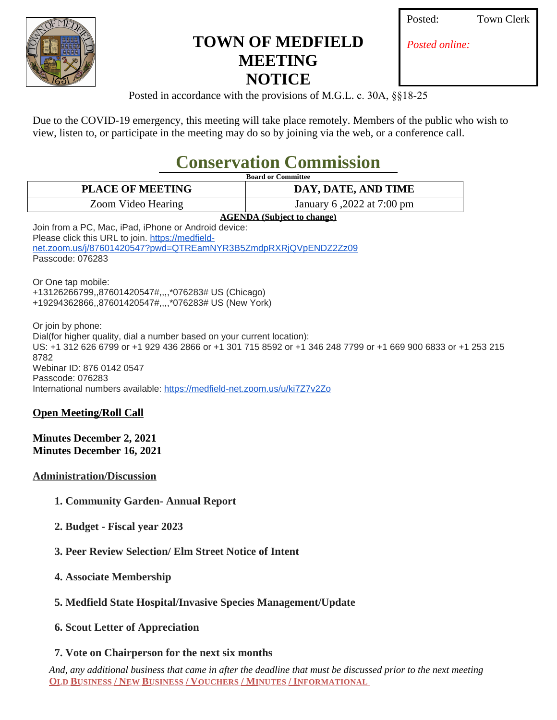

## **TOWN OF MEDFIELD MEETING NOTICE**

| Posted: |  |
|---------|--|
|         |  |

**Town Clerk** 

*Posted online:*

Posted in accordance with the provisions of M.G.L. c. 30A, §§18-25

Due to the COVID-19 emergency, this meeting will take place remotely. Members of the public who wish to view, listen to, or participate in the meeting may do so by joining via the web, or a conference call.

# **Conservation Commission**

| <b>Board or Committee</b>                                                                                          |                                                                                                               |  |
|--------------------------------------------------------------------------------------------------------------------|---------------------------------------------------------------------------------------------------------------|--|
| <b>PLACE OF MEETING</b>                                                                                            | DAY, DATE, AND TIME                                                                                           |  |
| Zoom Video Hearing                                                                                                 | January 6, 2022 at 7:00 pm                                                                                    |  |
| <b>AGENDA</b> (Subject to change)                                                                                  |                                                                                                               |  |
| Join from a PC, Mac, iPad, iPhone or Android device:                                                               |                                                                                                               |  |
| Please click this URL to join. https://medfield-<br>net.zoom.us/j/87601420547?pwd=QTREamNYR3B5ZmdpRXRjQVpENDZ2Zz09 |                                                                                                               |  |
| Passcode: 076283                                                                                                   |                                                                                                               |  |
| Or One tap mobile:                                                                                                 |                                                                                                               |  |
| +13126266799,,87601420547#,,,,*076283# US (Chicago)                                                                |                                                                                                               |  |
| +19294362866,,87601420547#,,,,*076283# US (New York)                                                               |                                                                                                               |  |
| Or join by phone:                                                                                                  |                                                                                                               |  |
| Dial(for higher quality, dial a number based on your current location):                                            |                                                                                                               |  |
| 8782                                                                                                               | US: +1 312 626 6799 or +1 929 436 2866 or +1 301 715 8592 or +1 346 248 7799 or +1 669 900 6833 or +1 253 215 |  |
| Webinar ID: 876 0142 0547                                                                                          |                                                                                                               |  |
| Passcode: 076283                                                                                                   |                                                                                                               |  |
| International numbers available: https://medfield-net.zoom.us/u/ki7Z7v2Zo                                          |                                                                                                               |  |
| <b>Open Meeting/Roll Call</b>                                                                                      |                                                                                                               |  |

#### **Minutes December 2, 2021 Minutes December 16, 2021**

#### **Administration/Discussion**

- **1. Community Garden- Annual Report**
- **2. Budget Fiscal year 2023**
- **3. Peer Review Selection/ Elm Street Notice of Intent**
- **4. Associate Membership**
- **5. Medfield State Hospital/Invasive Species Management/Update**
- **6. Scout Letter of Appreciation**

### **7. Vote on Chairperson for the next six months**

*And, any additional business that came in after the deadline that must be discussed prior to the next meeting* **OLD BUSINESS / NEW BUSINESS / VOUCHERS / MINUTES / INFORMATIONAL**